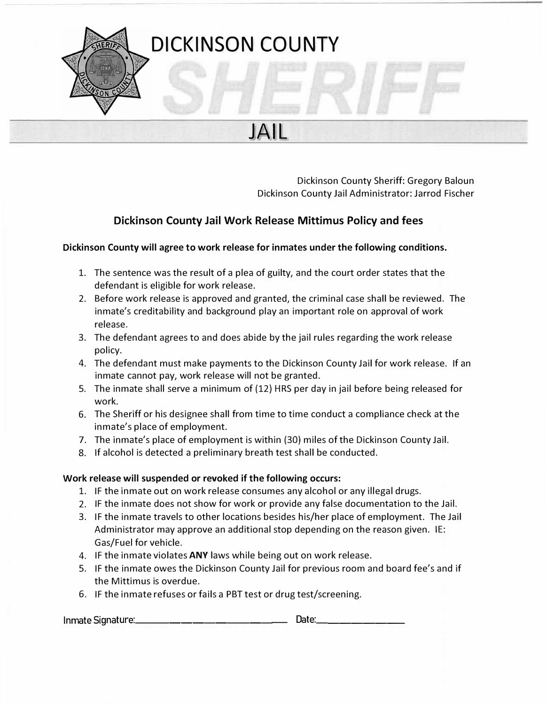

Dickinson County Sheriff: Gregory Baloun Dickinson County Jail Administrator: Jarrod Fischer

# **Dickinson County Jail Work Release Mittimus Policy and fees**

JAIL

### **Dickinson County will agree to work release for inmates under the following conditions.**

- 1. The sentence was the result of a plea of guilty, and the court order states that the defendant is eligible for work release.
- 2. Before work release is approved and granted, the criminal case shall be reviewed. The inmate's creditability and background play an important role on approval of work release.
- 3. The defendant agrees to and does abide by the jail rules regarding the work release policy.
- 4. The defendant must make payments to the Dickinson County Jail for work release. If an inmate cannot pay, work release will not be granted.
- 5. The inmate shall serve a minimum of (12} HRS per day in jail before being released for work.
- 6. The Sheriff or his designee shall from time to time conduct a compliance check at the inmate's place of employment.
- 7. The inmate's place of employment is within (30) miles of the Dickinson County Jail.
- 8. If alcohol is detected a preliminary breath test shall be conducted.

### **Work release will suspended or revoked if the following occurs:**

- 1. IF the inmate out on work release consumes any alcohol or any illegal drugs.
- 2. IF the inmate does not show for work or provide any false documentation to the Jail.
- 3. IF the inmate travels to other locations besides his/her place of employment. The Jail Administrator may approve an additional stop depending on the reason given. IE: Gas/Fuel for vehicle.
- 4. IF the inmate violates **ANY** laws while being out on work release.
- 5. IF the inmate owes the Dickinson County Jail for previous room and board fee's and if the Mittimus is overdue.
- 6. IF the inmate refuses or fails a PBT test or drug test/screening.

Inmate Signature: \_\_\_\_\_\_\_\_\_\_\_\_\_\_\_\_\_\_\_\_\_\_\_\_\_\_\_\_\_\_\_\_\_\_ Date:\_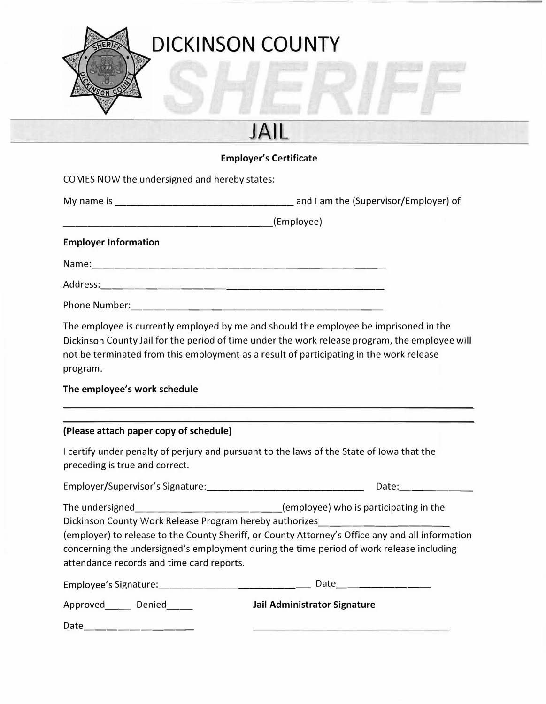

# **JAll**

### **Employer's Certificate**

COMES NOW the undersigned and hereby states:

| My name is | and I am the (Supervisor/Employer) of |
|------------|---------------------------------------|
|------------|---------------------------------------|

\_\_\_\_\_\_\_\_\_\_\_\_\_\_\_\_\_ (Employee)

### **Employer Information**

ERIE

Name: \_\_\_\_\_\_\_\_\_\_\_\_\_\_\_\_\_\_\_\_\_\_\_\_\_ \_

Address: -------------------------

Phone Number: ----------------------

The employee is currently employed by me and should the employee be imprisoned in the Dickinson County Jail for the period of time under the work release program, the employee will not be terminated from this employment as a result of participating in the work release program.

# **The employee's work schedule**

# **(Please attach paper copy of schedule)**

I certify under penalty of perjury and pursuant to the laws of the State of Iowa that the preceding is true and correct.

| Employer/Supervisor's Signature: | Date: |
|----------------------------------|-------|
|                                  |       |

The undersigned **The undersigned** (employee) who is participating in the

Dickinson County Work Release Program hereby authorizes \_\_\_\_\_\_\_\_\_\_\_ \_ (employer) to release to the County Sheriff, or County Attorney's Office any and all information concerning the undersigned's employment during the time period of work release including attendance records and time card reports.

| Employee's Signature: | Date                         |
|-----------------------|------------------------------|
| Approved<br>Denied    | Jail Administrator Signature |
| Date                  |                              |